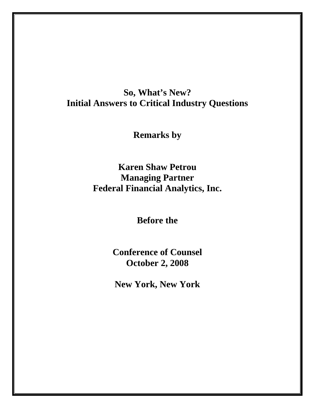## **So, What's New? Initial Answers to Critical Industry Questions**

**Remarks by** 

**Karen Shaw Petrou Managing Partner Federal Financial Analytics, Inc.** 

**Before the** 

**Conference of Counsel October 2, 2008** 

**New York, New York**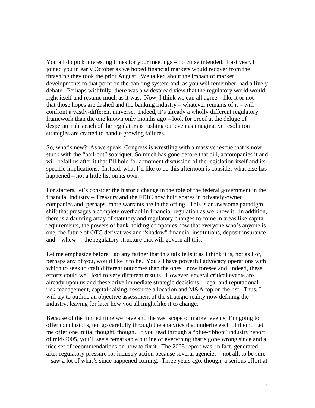You all do pick interesting times for your meetings – no curse intended. Last year, I joined you in early October as we hoped financial markets would recover from the thrashing they took the prior August. We talked about the impact of market developments to that point on the banking system and, as you will remember, had a lively debate. Perhaps wishfully, there was a widespread view that the regulatory world would right itself and resume much as it was. Now, I think we can all agree – like it or not – that those hopes are dashed and the banking industry – whatever remains of it – will confront a vastly-different universe. Indeed, it's already a wholly different regulatory framework than the one known only months ago – look for proof at the deluge of desperate rules each of the regulators is rushing out even as imaginative resolution strategies are crafted to handle growing failures.

So, what's new? As we speak, Congress is wrestling with a massive rescue that is now stuck with the "bail-out" sobriquet. So much has gone before that bill, accompanies it and will befall us after it that I'll hold for a moment discussion of the legislation itself and its specific implications. Instead, what I'd like to do this afternoon is consider what else has happened – not a little list on its own.

For starters, let's consider the historic change in the role of the federal government in the financial industry – Treasury and the FDIC now hold shares in privately-owned companies and, perhaps, more warrants are in the offing. This is an awesome paradigm shift that presages a complete overhaul in financial regulation as we know it. In addition, there is a daunting array of statutory and regulatory changes to come in areas like capital requirements, the powers of bank holding companies now that everyone who's anyone is one, the future of OTC derivatives and "shadow" financial institutions, deposit insurance and – whew! – the regulatory structure that will govern all this.

Let me emphasize before I go any farther that this talk tells it as I think it is, not as I or, perhaps any of you, would like it to be. You all have powerful advocacy operations with which to seek to craft different outcomes than the ones I now foresee and, indeed, these efforts could well lead to very different results. However, several critical events are already upon us and these drive immediate strategic decisions – legal and reputational risk management, capital-raising, resource allocation and M&A top on the list. Thus, I will try to outline an objective assessment of the strategic reality now defining the industry, leaving for later how you all might like it to change.

Because of the limited time we have and the vast scope of market events, I'm going to offer conclusions, not go carefully through the analytics that underlie each of them. Let me offer one initial thought, though. If you read through a "blue-ribbon" industry report of mid-2005, you'll see a remarkable outline of everything that's gone wrong since and a nice set of recommendations on how to fix it. The 2005 report was, in fact, generated after regulatory pressure for industry action because several agencies – not all, to be sure – saw a lot of what's since happened coming. Three years ago, though, a serious effort at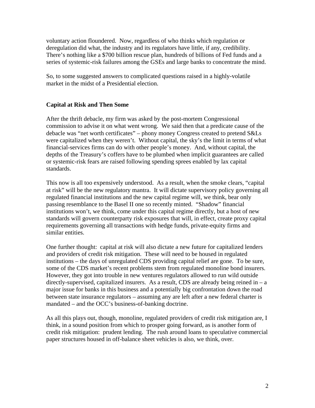voluntary action floundered. Now, regardless of who thinks which regulation or deregulation did what, the industry and its regulators have little, if any, credibility. There's nothing like a \$700 billion rescue plan, hundreds of billions of Fed funds and a series of systemic-risk failures among the GSEs and large banks to concentrate the mind.

So, to some suggested answers to complicated questions raised in a highly-volatile market in the midst of a Presidential election.

## **Capital at Risk and Then Some**

After the thrift debacle, my firm was asked by the post-mortem Congressional commission to advise it on what went wrong. We said then that a predicate cause of the debacle was "net worth certificates" – phony money Congress created to pretend S&Ls were capitalized when they weren't. Without capital, the sky's the limit in terms of what financial-services firms can do with other people's money. And, without capital, the depths of the Treasury's coffers have to be plumbed when implicit guarantees are called or systemic-risk fears are raised following spending sprees enabled by lax capital standards.

This now is all too expensively understood. As a result, when the smoke clears, "capital at risk" will be the new regulatory mantra. It will dictate supervisory policy governing all regulated financial institutions and the new capital regime will, we think, bear only passing resemblance to the Basel II one so recently minted. "Shadow" financial institutions won't, we think, come under this capital regime directly, but a host of new standards will govern counterparty risk exposures that will, in effect, create proxy capital requirements governing all transactions with hedge funds, private-equity firms and similar entities.

One further thought: capital at risk will also dictate a new future for capitalized lenders and providers of credit risk mitigation. These will need to be housed in regulated institutions – the days of unregulated CDS providing capital relief are gone. To be sure, some of the CDS market's recent problems stem from regulated monoline bond insurers. However, they got into trouble in new ventures regulators allowed to run wild outside directly-supervised, capitalized insurers. As a result, CDS are already being reined in  $- a$ major issue for banks in this business and a potentially big confrontation down the road between state insurance regulators – assuming any are left after a new federal charter is mandated – and the OCC's business-of-banking doctrine.

As all this plays out, though, monoline, regulated providers of credit risk mitigation are, I think, in a sound position from which to prosper going forward, as is another form of credit risk mitigation: prudent lending. The rush around loans to speculative commercial paper structures housed in off-balance sheet vehicles is also, we think, over.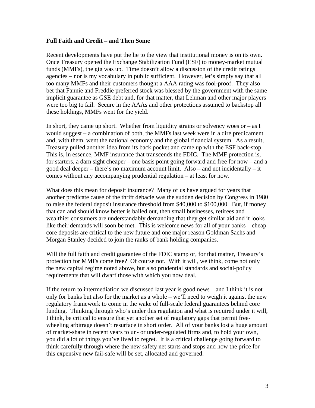## **Full Faith and Credit – and Then Some**

Recent developments have put the lie to the view that institutional money is on its own. Once Treasury opened the Exchange Stabilization Fund (ESF) to money-market mutual funds (MMFs), the gig was up. Time doesn't allow a discussion of the credit ratings agencies – nor is my vocabulary in public sufficient. However, let's simply say that all too many MMFs and their customers thought a AAA rating was fool-proof. They also bet that Fannie and Freddie preferred stock was blessed by the government with the same implicit guarantee as GSE debt and, for that matter, that Lehman and other major players were too big to fail. Secure in the AAAs and other protections assumed to backstop all these holdings, MMFs went for the yield.

In short, they came up short. Whether from liquidity strains or solvency woes or  $-$  as I would suggest – a combination of both, the MMFs last week were in a dire predicament and, with them, went the national economy and the global financial system. As a result, Treasury pulled another idea from its back pocket and came up with the ESF back-stop. This is, in essence, MMF insurance that transcends the FDIC. The MMF protection is, for starters, a darn sight cheaper – one basis point going forward and free for now – and a good deal deeper – there's no maximum account limit. Also – and not incidentally – it comes without any accompanying prudential regulation – at least for now.

What does this mean for deposit insurance? Many of us have argued for years that another predicate cause of the thrift debacle was the sudden decision by Congress in 1980 to raise the federal deposit insurance threshold from \$40,000 to \$100,000. But, if money that can and should know better is bailed out, then small businesses, retirees and wealthier consumers are understandably demanding that they get similar aid and it looks like their demands will soon be met. This is welcome news for all of your banks – cheap core deposits are critical to the new future and one major reason Goldman Sachs and Morgan Stanley decided to join the ranks of bank holding companies.

Will the full faith and credit guarantee of the FDIC stamp or, for that matter, Treasury's protection for MMFs come free? Of course not. With it will, we think, come not only the new capital regime noted above, but also prudential standards and social-policy requirements that will dwarf those with which you now deal.

If the return to intermediation we discussed last year is good news – and I think it is not only for banks but also for the market as a whole – we'll need to weigh it against the new regulatory framework to come in the wake of full-scale federal guarantees behind core funding. Thinking through who's under this regulation and what is required under it will, I think, be critical to ensure that yet another set of regulatory gaps that permit freewheeling arbitrage doesn't resurface in short order. All of your banks lost a huge amount of market-share in recent years to un- or under-regulated firms and, to hold your own, you did a lot of things you've lived to regret. It is a critical challenge going forward to think carefully through where the new safety net starts and stops and how the price for this expensive new fail-safe will be set, allocated and governed.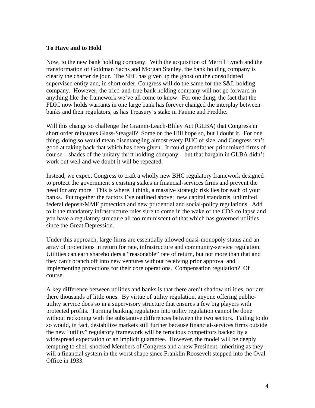## **To Have and to Hold**

Now, to the new bank holding company. With the acquisition of Merrill Lynch and the transformation of Goldman Sachs and Morgan Stanley, the bank holding company is clearly the charter de jour. The SEC has given up the ghost on the consolidated supervised entity and, in short order, Congress will do the same for the S&L holding company. However, the tried-and-true bank holding company will not go forward in anything like the framework we've all come to know. For one thing, the fact that the FDIC now holds warrants in one large bank has forever changed the interplay between banks and their regulators, as has Treasury's stake in Fannie and Freddie.

Will this change so challenge the Gramm-Leach-Bliley Act (GLBA) that Congress in short order reinstates Glass-Steagall? Some on the Hill hope so, but I doubt it. For one thing, doing so would mean disentangling almost every BHC of size, and Congress isn't good at taking back that which has been given. It could grandfather prior mixed firms of course – shades of the unitary thrift holding company – but that bargain in GLBA didn't work out well and we doubt it will be repeated.

Instead, we expect Congress to craft a wholly new BHC regulatory framework designed to protect the government's existing stakes in financial-services firms and prevent the need for any more. This is where, I think, a massive strategic risk lies for each of your banks. Put together the factors I've outlined above: new capital standards, unlimited federal deposit/MMF protection and new prudential and social-policy regulations. Add to it the mandatory infrastructure rules sure to come in the wake of the CDS collapse and you have a regulatory structure all too reminiscent of that which has governed utilities since the Great Depression.

Under this approach, large firms are essentially allowed quasi-monopoly status and an array of protections in return for rate, infrastructure and community-service regulation. Utilities can earn shareholders a "reasonable" rate of return, but not more than that and they can't branch off into new ventures without receiving prior approval and implementing protections for their core operations. Compensation regulation? Of course.

A key difference between utilities and banks is that there aren't shadow utilities, nor are there thousands of little ones. By virtue of utility regulation, anyone offering publicutility service does so in a supervisory structure that ensures a few big players with protected profits. Turning banking regulation into utility regulation cannot be done without reckoning with the substantive differences between the two sectors. Failing to do so would, in fact, destabilize markets still further because financial-services firms outside the new "utility" regulatory framework will be ferocious competitors backed by a widespread expectation of an implicit guarantee. However, the model will be deeply tempting to shell-shocked Members of Congress and a new President, inheriting as they will a financial system in the worst shape since Franklin Roosevelt stepped into the Oval Office in 1933.